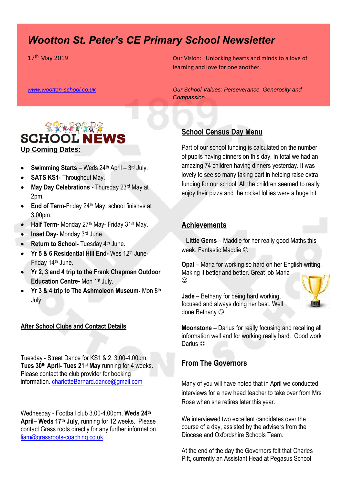# *Wootton St. Peter's CE Primary School Newsletter*

17<sup>th</sup> May 2019 **Our Vision:** Unlocking hearts and minds to a love of learning and love for one another.

*[www.wootton-school.co.uk](http://www.wootton-school.co.uk/) Our School Values: Perseverance, Generosity and* 



- **Swimming Starts** Weds 24<sup>th</sup> April 3rd July.
- **SATS KS1** Throughout May.
- **May Day Celebrations -** Thursday 23rd May at 2pm.
- **End of Term-Friday 24th May, school finishes at** 3.00pm.
- Half Term- Monday 27<sup>th</sup> May- Friday 31<sup>st</sup> May.
- **Inset Day-** Monday 3rd June.
- **Return to School-** Tuesday 4<sup>th</sup> June.
- Yr 5 & 6 Residential Hill End- Wes 12<sup>th</sup> June-Friday 14th June.
- **Yr 2, 3 and 4 trip to the Frank Chapman Outdoor Education Centre-** Mon 1st July.
- Yr 3 & 4 trip to The Ashmoleon Museum- Mon 8th July.

#### **After School Clubs and Contact Details**

Tuesday - Street Dance for KS1 & 2, 3.00-4.00pm, **Tues 30th April- Tues 21st May** running for 4 weeks. Please contact the club provider for booking information. charlotteBarnard.dance@gmail.com

Wednesday - Football club 3.00-4.00pm, **Weds 24th April– Weds 17th July**, running for 12 weeks. Please contact Grass roots directly for any further information [liam@grassroots-coaching.co.uk](mailto:liam@grassroots-coaching.co.uk)

*Compassion.*

### **School Census Day Menu**

Part of our school funding is calculated on the number of pupils having dinners on this day. In total we had an amazing 74 children having dinners yesterday. It was lovely to see so many taking part in helping raise extra funding for our school. All the children seemed to really enjoy their pizza and the rocket lollies were a huge hit.

### **Achievements**

 **Little Gems** – Maddie for her really good Maths this week. Fantastic Maddie

**Opal** – Maria for working so hard on her English writing. Making it better and better. Great job Maria  $\odot$ 



**Jade** – Bethany for being hard working, focused and always doing her best. Well done Bethany  $\odot$ 

**Moonstone** – Darius for really focusing and recalling all information well and for working really hard. Good work Darius<sup>(C)</sup>

### **From The Governors**

Many of you will have noted that in April we conducted interviews for a new head teacher to take over from Mrs Rose when she retires later this year.

We interviewed two excellent candidates over the course of a day, assisted by the advisers from the Diocese and Oxfordshire Schools Team.

At the end of the day the Governors felt that Charles Pitt, currently an Assistant Head at Pegasus School